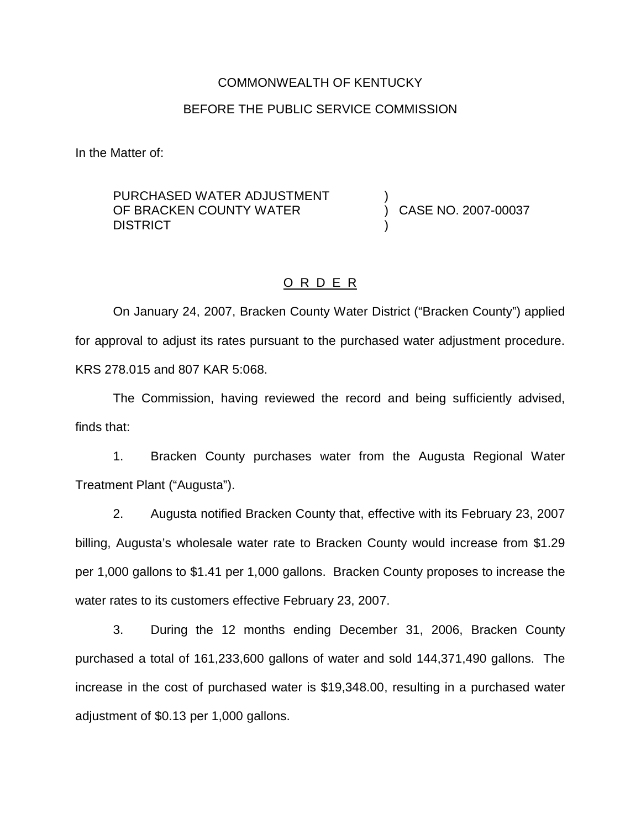#### COMMONWEALTH OF KENTUCKY

#### BEFORE THE PUBLIC SERVICE COMMISSION

In the Matter of:

PURCHASED WATER ADJUSTMENT OF BRACKEN COUNTY WATER **DISTRICT** 

) CASE NO. 2007-00037

)

)

### O R D E R

On January 24, 2007, Bracken County Water District ("Bracken County") applied for approval to adjust its rates pursuant to the purchased water adjustment procedure. KRS 278.015 and 807 KAR 5:068.

The Commission, having reviewed the record and being sufficiently advised, finds that:

1. Bracken County purchases water from the Augusta Regional Water Treatment Plant ("Augusta").

2. Augusta notified Bracken County that, effective with its February 23, 2007 billing, Augusta's wholesale water rate to Bracken County would increase from \$1.29 per 1,000 gallons to \$1.41 per 1,000 gallons. Bracken County proposes to increase the water rates to its customers effective February 23, 2007.

3. During the 12 months ending December 31, 2006, Bracken County purchased a total of 161,233,600 gallons of water and sold 144,371,490 gallons. The increase in the cost of purchased water is \$19,348.00, resulting in a purchased water adjustment of \$0.13 per 1,000 gallons.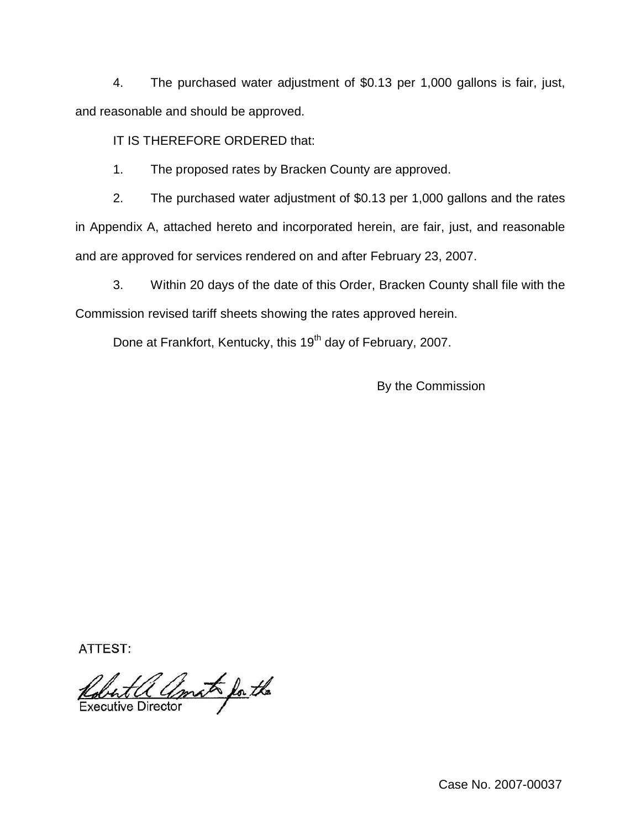4. The purchased water adjustment of \$0.13 per 1,000 gallons is fair, just, and reasonable and should be approved.

IT IS THEREFORE ORDERED that:

1. The proposed rates by Bracken County are approved.

2. The purchased water adjustment of \$0.13 per 1,000 gallons and the rates in Appendix A, attached hereto and incorporated herein, are fair, just, and reasonable and are approved for services rendered on and after February 23, 2007.

3. Within 20 days of the date of this Order, Bracken County shall file with the Commission revised tariff sheets showing the rates approved herein.

Done at Frankfort, Kentucky, this 19<sup>th</sup> day of February, 2007.

By the Commission

**ATTEST:** 

Robert a amat for the